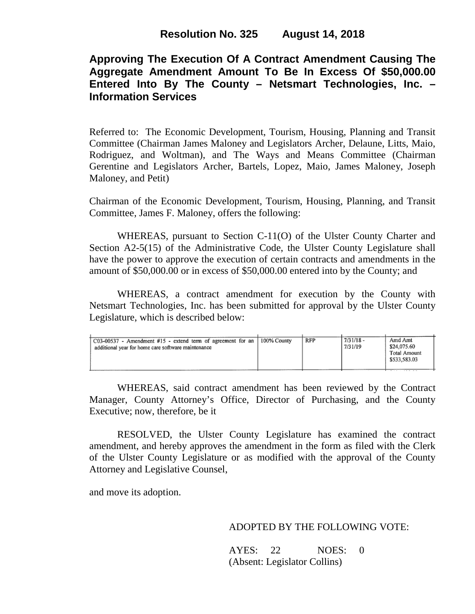# **Approving The Execution Of A Contract Amendment Causing The Aggregate Amendment Amount To Be In Excess Of \$50,000.00 Entered Into By The County – Netsmart Technologies, Inc. – Information Services**

Referred to: The Economic Development, Tourism, Housing, Planning and Transit Committee (Chairman James Maloney and Legislators Archer, Delaune, Litts, Maio, Rodriguez, and Woltman), and The Ways and Means Committee (Chairman Gerentine and Legislators Archer, Bartels, Lopez, Maio, James Maloney, Joseph Maloney, and Petit)

Chairman of the Economic Development, Tourism, Housing, Planning, and Transit Committee, James F. Maloney, offers the following:

WHEREAS, pursuant to Section C-11(O) of the Ulster County Charter and Section A2-5(15) of the Administrative Code, the Ulster County Legislature shall have the power to approve the execution of certain contracts and amendments in the amount of \$50,000.00 or in excess of \$50,000.00 entered into by the County; and

WHEREAS, a contract amendment for execution by the County with Netsmart Technologies, Inc. has been submitted for approval by the Ulster County Legislature, which is described below:

| $\big $ C03-00537 - Amendment #15 - extend term of agreement for an $\big $<br>additional year for home care software maintenance | 100% County | RFP | $7/31/18 -$<br>7/31/19 | Amd Amt<br>\$24,075.60<br>Total Amount<br>\$533,583.03<br>. |
|-----------------------------------------------------------------------------------------------------------------------------------|-------------|-----|------------------------|-------------------------------------------------------------|
|-----------------------------------------------------------------------------------------------------------------------------------|-------------|-----|------------------------|-------------------------------------------------------------|

WHEREAS, said contract amendment has been reviewed by the Contract Manager, County Attorney's Office, Director of Purchasing, and the County Executive; now, therefore, be it

RESOLVED, the Ulster County Legislature has examined the contract amendment, and hereby approves the amendment in the form as filed with the Clerk of the Ulster County Legislature or as modified with the approval of the County Attorney and Legislative Counsel,

and move its adoption.

### ADOPTED BY THE FOLLOWING VOTE:

AYES: 22 NOES: 0 (Absent: Legislator Collins)